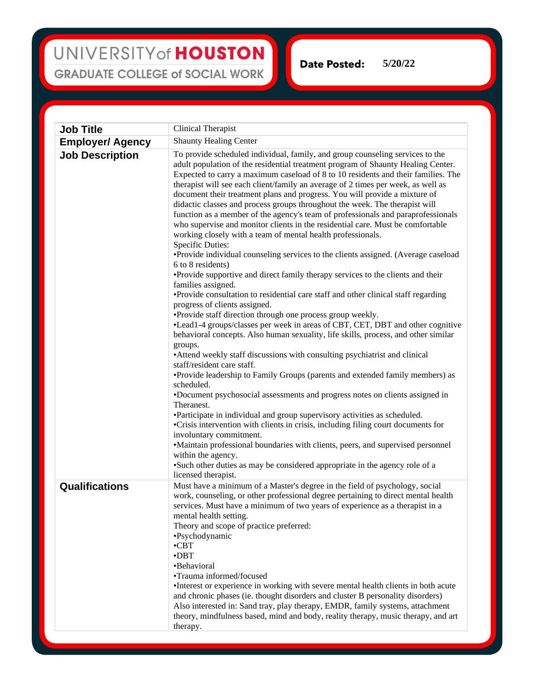## UNIVERSITY of HOUSTON **GRADUATE COLLEGE of SOCIAL WORK**

**Date Posted: 5/20/22**

**Job Title** Clinical Therapist **Employer/ Agency** Shaunty Healing Center **Job Description** To provide scheduled individual, family, and group counseling services to the adult population of the residential treatment program of Shaunty Healing Center. Expected to carry a maximum caseload of 8 to 10 residents and their families. The therapist will see each client/family an average of 2 times per week, as well as document their treatment plans and progress. You will provide a mixture of didactic classes and process groups throughout the week. The therapist will function as a member of the agency's team of professionals and paraprofessionals who supervise and monitor clients in the residential care. Must be comfortable working closely with a team of mental health professionals. Specific Duties: •Provide individual counseling services to the clients assigned. (Average caseload 6 to 8 residents) •Provide supportive and direct family therapy services to the clients and their families assigned. •Provide consultation to residential care staff and other clinical staff regarding progress of clients assigned. •Provide staff direction through one process group weekly. •Lead1-4 groups/classes per week in areas of CBT, CET, DBT and other cognitive behavioral concepts. Also human sexuality, life skills, process, and other similar groups. •Attend weekly staff discussions with consulting psychiatrist and clinical staff/resident care staff. •Provide leadership to Family Groups (parents and extended family members) as scheduled. •Document psychosocial assessments and progress notes on clients assigned in Theranest. •Participate in individual and group supervisory activities as scheduled. •Crisis intervention with clients in crisis, including filing court documents for involuntary commitment. •Maintain professional boundaries with clients, peers, and supervised personnel within the agency. •Such other duties as may be considered appropriate in the agency role of a licensed therapist.

**Qualifications** Must have a minimum of a Master's degree in the field of psychology, social work, counseling, or other professional degree pertaining to direct mental health services. Must have a minimum of two years of experience as a therapist in a mental health setting. Theory and scope of practice preferred: •Psychodynamic •CBT •DBT •Behavioral •Trauma informed/focused •Interest or experience in working with severe mental health clients in both acute and chronic phases (ie. thought disorders and cluster B personality disorders) Also interested in: Sand tray, play therapy, EMDR, family systems, attachment theory, mindfulness based, mind and body, reality therapy, music therapy, and art therapy.